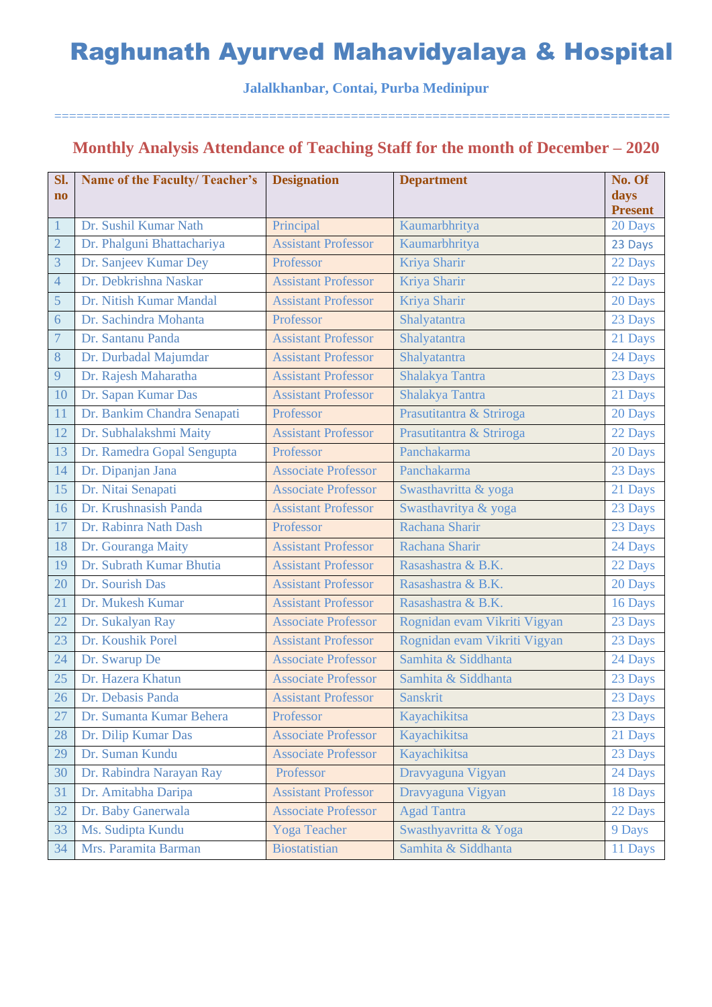**Jalalkhanbar, Contai, Purba Medinipur**

===================================================================================

### **Monthly Analysis Attendance of Teaching Staff for the month of December – 2020**

| Sl.            | <b>Name of the Faculty/Teacher's</b> | <b>Designation</b>         | <b>Department</b>            | No. Of         |
|----------------|--------------------------------------|----------------------------|------------------------------|----------------|
| $\mathbf{n}$   |                                      |                            |                              | days           |
|                |                                      |                            |                              | <b>Present</b> |
| $\mathbf{1}$   | Dr. Sushil Kumar Nath                | Principal                  | Kaumarbhritya                | 20 Days        |
| $\overline{2}$ | Dr. Phalguni Bhattachariya           | <b>Assistant Professor</b> | Kaumarbhritya                | 23 Days        |
| 3              | Dr. Sanjeev Kumar Dey                | Professor                  | Kriya Sharir                 | 22 Days        |
| $\overline{4}$ | Dr. Debkrishna Naskar                | <b>Assistant Professor</b> | Kriya Sharir                 | 22 Days        |
| 5              | Dr. Nitish Kumar Mandal              | <b>Assistant Professor</b> | Kriya Sharir                 | 20 Days        |
| 6              | Dr. Sachindra Mohanta                | Professor                  | Shalyatantra                 | 23 Days        |
| $\overline{7}$ | Dr. Santanu Panda                    | <b>Assistant Professor</b> | Shalyatantra                 | 21 Days        |
| $8\,$          | Dr. Durbadal Majumdar                | <b>Assistant Professor</b> | Shalyatantra                 | 24 Days        |
| 9              | Dr. Rajesh Maharatha                 | <b>Assistant Professor</b> | Shalakya Tantra              | 23 Days        |
| 10             | Dr. Sapan Kumar Das                  | <b>Assistant Professor</b> | Shalakya Tantra              | 21 Days        |
| 11             | Dr. Bankim Chandra Senapati          | Professor                  | Prasutitantra & Striroga     | 20 Days        |
| 12             | Dr. Subhalakshmi Maity               | <b>Assistant Professor</b> | Prasutitantra & Striroga     | 22 Days        |
| 13             | Dr. Ramedra Gopal Sengupta           | Professor                  | Panchakarma                  | 20 Days        |
| 14             | Dr. Dipanjan Jana                    | <b>Associate Professor</b> | Panchakarma                  | 23 Days        |
| 15             | Dr. Nitai Senapati                   | <b>Associate Professor</b> | Swasthavritta & yoga         | 21 Days        |
| 16             | Dr. Krushnasish Panda                | <b>Assistant Professor</b> | Swasthavritya & yoga         | 23 Days        |
| 17             | Dr. Rabinra Nath Dash                | Professor                  | Rachana Sharir               | 23 Days        |
| 18             | Dr. Gouranga Maity                   | <b>Assistant Professor</b> | Rachana Sharir               | 24 Days        |
| 19             | Dr. Subrath Kumar Bhutia             | <b>Assistant Professor</b> | Rasashastra & B.K.           | 22 Days        |
| 20             | Dr. Sourish Das                      | <b>Assistant Professor</b> | Rasashastra & B.K.           | 20 Days        |
| 21             | Dr. Mukesh Kumar                     | <b>Assistant Professor</b> | Rasashastra & B.K.           | 16 Days        |
| 22             | Dr. Sukalyan Ray                     | <b>Associate Professor</b> | Rognidan evam Vikriti Vigyan | 23 Days        |
| 23             | Dr. Koushik Porel                    | <b>Assistant Professor</b> | Rognidan evam Vikriti Vigyan | 23 Days        |
| 24             | Dr. Swarup De                        | <b>Associate Professor</b> | Samhita & Siddhanta          | 24 Days        |
| 25             | Dr. Hazera Khatun                    | <b>Associate Professor</b> | Samhita & Siddhanta          | 23 Days        |
| 26             | Dr. Debasis Panda                    | <b>Assistant Professor</b> | <b>Sanskrit</b>              | 23 Days        |
| 27             | Dr. Sumanta Kumar Behera             | Professor                  | Kayachikitsa                 | 23 Days        |
| 28             | Dr. Dilip Kumar Das                  | <b>Associate Professor</b> | Kayachikitsa                 | 21 Days        |
| 29             | Dr. Suman Kundu                      | <b>Associate Professor</b> | Kayachikitsa                 | 23 Days        |
| 30             | Dr. Rabindra Narayan Ray             | Professor                  | Dravyaguna Vigyan            | 24 Days        |
| 31             | Dr. Amitabha Daripa                  | <b>Assistant Professor</b> | Dravyaguna Vigyan            | 18 Days        |
| 32             | Dr. Baby Ganerwala                   | <b>Associate Professor</b> | <b>Agad Tantra</b>           | 22 Days        |
| 33             | Ms. Sudipta Kundu                    | <b>Yoga Teacher</b>        | Swasthyavritta & Yoga        | 9 Days         |
| 34             | Mrs. Paramita Barman                 | <b>Biostatistian</b>       | Samhita & Siddhanta          | 11 Days        |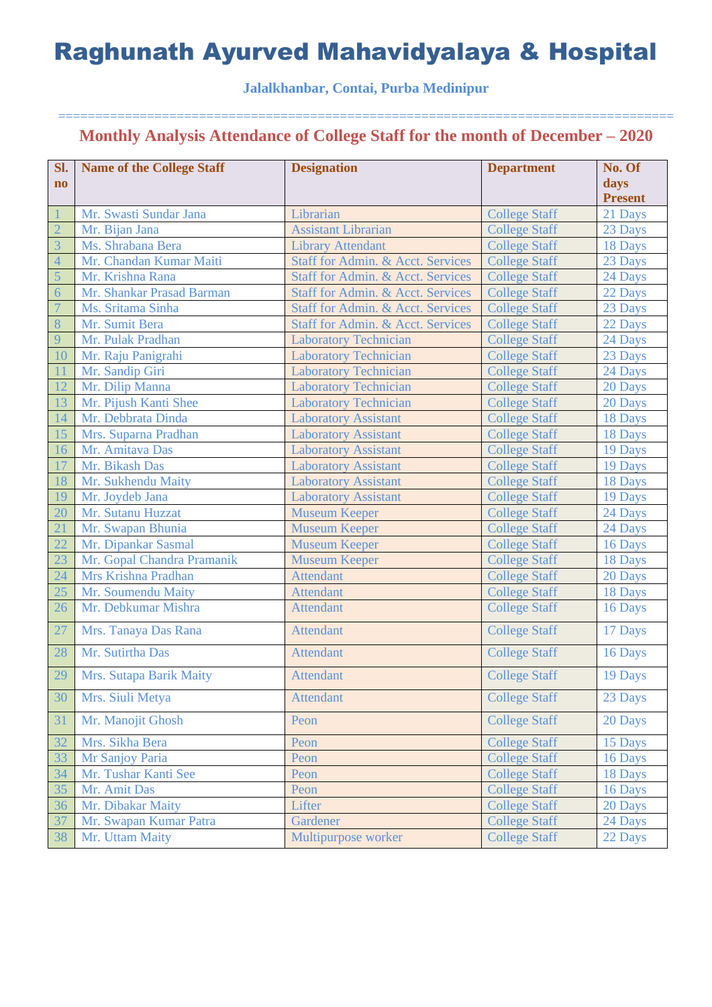### **Jalalkhanbar, Contai, Purba Medinipur**

| Sl.            | <b>Name of the College Staff</b> | <b>Designation</b>                | <b>Department</b>    | No. Of         |
|----------------|----------------------------------|-----------------------------------|----------------------|----------------|
| $\mathbf{n}$   |                                  |                                   |                      | days           |
|                |                                  |                                   |                      | <b>Present</b> |
|                | Mr. Swasti Sundar Jana           | Librarian                         | <b>College Staff</b> | 21 Days        |
| $\overline{2}$ | Mr. Bijan Jana                   | <b>Assistant Librarian</b>        | <b>College Staff</b> | 23 Days        |
| $\overline{3}$ | Ms. Shrabana Bera                | <b>Library Attendant</b>          | <b>College Staff</b> | 18 Days        |
| $\overline{4}$ | Mr. Chandan Kumar Maiti          | Staff for Admin. & Acct. Services | <b>College Staff</b> | 23 Days        |
| 5              | Mr. Krishna Rana                 | Staff for Admin. & Acct. Services | <b>College Staff</b> | 24 Days        |
| 6              | Mr. Shankar Prasad Barman        | Staff for Admin. & Acct. Services | <b>College Staff</b> | 22 Days        |
| $\overline{7}$ | Ms. Sritama Sinha                | Staff for Admin. & Acct. Services | <b>College Staff</b> | 23 Days        |
| 8              | Mr. Sumit Bera                   | Staff for Admin. & Acct. Services | <b>College Staff</b> | 22 Days        |
| 9              | Mr. Pulak Pradhan                | <b>Laboratory Technician</b>      | <b>College Staff</b> | 24 Days        |
| 10             | Mr. Raju Panigrahi               | <b>Laboratory Technician</b>      | <b>College Staff</b> | 23 Days        |
| 11             | Mr. Sandip Giri                  | <b>Laboratory Technician</b>      | <b>College Staff</b> | 24 Days        |
| 12             | Mr. Dilip Manna                  | <b>Laboratory Technician</b>      | <b>College Staff</b> | 20 Days        |
| 13             | Mr. Pijush Kanti Shee            | <b>Laboratory Technician</b>      | <b>College Staff</b> | 20 Days        |
| 14             | Mr. Debbrata Dinda               | <b>Laboratory Assistant</b>       | <b>College Staff</b> | 18 Days        |
| 15             | Mrs. Suparna Pradhan             | <b>Laboratory Assistant</b>       | <b>College Staff</b> | 18 Days        |
| 16             | Mr. Amitava Das                  | <b>Laboratory Assistant</b>       | <b>College Staff</b> | 19 Days        |
| 17             | Mr. Bikash Das                   | <b>Laboratory Assistant</b>       | <b>College Staff</b> | 19 Days        |
| 18             | Mr. Sukhendu Maity               | <b>Laboratory Assistant</b>       | <b>College Staff</b> | 18 Days        |
| 19             | Mr. Joydeb Jana                  | <b>Laboratory Assistant</b>       | <b>College Staff</b> | 19 Days        |
| 20             | Mr. Sutanu Huzzat                | <b>Museum Keeper</b>              | <b>College Staff</b> | 24 Days        |
| 21             | Mr. Swapan Bhunia                | <b>Museum Keeper</b>              | <b>College Staff</b> | 24 Days        |
| 22             | Mr. Dipankar Sasmal              | <b>Museum Keeper</b>              | <b>College Staff</b> | 16 Days        |
| 23             | Mr. Gopal Chandra Pramanik       | <b>Museum Keeper</b>              | <b>College Staff</b> | 18 Days        |
| 24             | Mrs Krishna Pradhan              | <b>Attendant</b>                  | <b>College Staff</b> | 20 Days        |
| 25             | Mr. Soumendu Maity               | <b>Attendant</b>                  | <b>College Staff</b> | 18 Days        |
| 26             | Mr. Debkumar Mishra              | <b>Attendant</b>                  | <b>College Staff</b> | 16 Days        |
| 27             | Mrs. Tanaya Das Rana             | <b>Attendant</b>                  | <b>College Staff</b> | 17 Days        |
| 28             | Mr. Sutirtha Das                 | <b>Attendant</b>                  | <b>College Staff</b> | 16 Days        |
| 29             | Mrs. Sutapa Barik Maity          | <b>Attendant</b>                  | <b>College Staff</b> | 19 Days        |
| 30             | Mrs. Siuli Metya                 | <b>Attendant</b>                  | <b>College Staff</b> | 23 Days        |
| 31             | Mr. Manojit Ghosh                | Peon                              | <b>College Staff</b> | 20 Days        |
| 32             | Mrs. Sikha Bera                  | Peon                              | <b>College Staff</b> | 15 Days        |
| 33             | Mr Sanjoy Paria                  | Peon                              | <b>College Staff</b> | 16 Days        |
| 34             | Mr. Tushar Kanti See             | Peon                              | <b>College Staff</b> | 18 Days        |
| 35             | Mr. Amit Das                     | Peon                              | <b>College Staff</b> | 16 Days        |
| 36             | Mr. Dibakar Maity                | Lifter                            | <b>College Staff</b> | 20 Days        |
| 37             | Mr. Swapan Kumar Patra           | Gardener                          | <b>College Staff</b> | 24 Days        |
| 38             | Mr. Uttam Maity                  | Multipurpose worker               | <b>College Staff</b> | 22 Days        |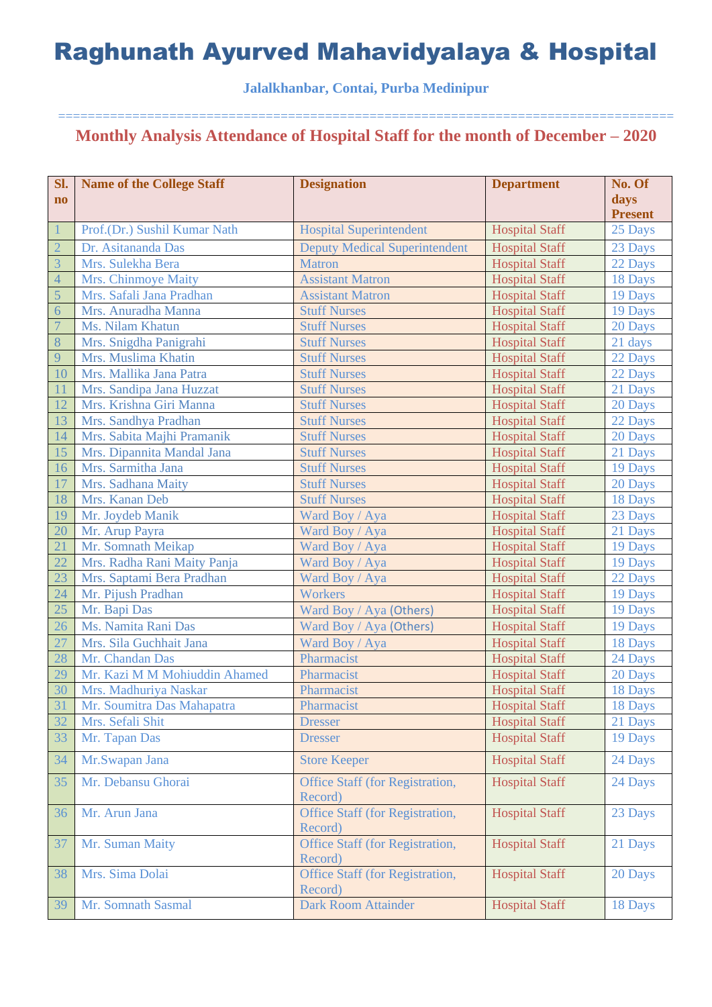### **Jalalkhanbar, Contai, Purba Medinipur**

| Sl.                    | <b>Name of the College Staff</b> | <b>Designation</b>                                | <b>Department</b>     | No. Of         |
|------------------------|----------------------------------|---------------------------------------------------|-----------------------|----------------|
| $\mathbf{n}\mathbf{o}$ |                                  |                                                   |                       | days           |
|                        |                                  |                                                   |                       | <b>Present</b> |
| $\mathbf{1}$           | Prof.(Dr.) Sushil Kumar Nath     | <b>Hospital Superintendent</b>                    | <b>Hospital Staff</b> | 25 Days        |
| $\overline{2}$         | Dr. Asitananda Das               | <b>Deputy Medical Superintendent</b>              | <b>Hospital Staff</b> | 23 Days        |
| $\overline{3}$         | Mrs. Sulekha Bera                | <b>Matron</b>                                     | <b>Hospital Staff</b> | 22 Days        |
| $\overline{4}$         | Mrs. Chinmoye Maity              | <b>Assistant Matron</b>                           | <b>Hospital Staff</b> | 18 Days        |
| 5                      | Mrs. Safali Jana Pradhan         | <b>Assistant Matron</b>                           | <b>Hospital Staff</b> | 19 Days        |
| 6                      | Mrs. Anuradha Manna              | <b>Stuff Nurses</b>                               | <b>Hospital Staff</b> | 19 Days        |
| $\overline{7}$         | Ms. Nilam Khatun                 | <b>Stuff Nurses</b>                               | <b>Hospital Staff</b> | 20 Days        |
| 8                      | Mrs. Snigdha Panigrahi           | <b>Stuff Nurses</b>                               | <b>Hospital Staff</b> | 21 days        |
| 9                      | Mrs. Muslima Khatin              | <b>Stuff Nurses</b>                               | <b>Hospital Staff</b> | 22 Days        |
| 10                     | Mrs. Mallika Jana Patra          | <b>Stuff Nurses</b>                               | <b>Hospital Staff</b> | 22 Days        |
| 11                     | Mrs. Sandipa Jana Huzzat         | <b>Stuff Nurses</b>                               | <b>Hospital Staff</b> | 21 Days        |
| 12                     | Mrs. Krishna Giri Manna          | <b>Stuff Nurses</b>                               | <b>Hospital Staff</b> | 20 Days        |
| 13                     | Mrs. Sandhya Pradhan             | <b>Stuff Nurses</b>                               | <b>Hospital Staff</b> | 22 Days        |
| 14                     | Mrs. Sabita Majhi Pramanik       | <b>Stuff Nurses</b>                               | <b>Hospital Staff</b> | 20 Days        |
| 15                     | Mrs. Dipannita Mandal Jana       | <b>Stuff Nurses</b>                               | <b>Hospital Staff</b> | 21 Days        |
| <b>16</b>              | Mrs. Sarmitha Jana               | <b>Stuff Nurses</b>                               | <b>Hospital Staff</b> | 19 Days        |
| 17                     | Mrs. Sadhana Maity               | <b>Stuff Nurses</b>                               | <b>Hospital Staff</b> | 20 Days        |
| 18                     | Mrs. Kanan Deb                   | <b>Stuff Nurses</b>                               | <b>Hospital Staff</b> | 18 Days        |
| 19                     | Mr. Joydeb Manik                 | Ward Boy / Aya                                    | <b>Hospital Staff</b> | 23 Days        |
| 20                     | Mr. Arup Payra                   | Ward Boy / Aya                                    | <b>Hospital Staff</b> | 21 Days        |
| 21                     | Mr. Somnath Meikap               | Ward Boy / Aya                                    | <b>Hospital Staff</b> | 19 Days        |
| 22                     | Mrs. Radha Rani Maity Panja      | Ward Boy / Aya                                    | <b>Hospital Staff</b> | 19 Days        |
| 23                     | Mrs. Saptami Bera Pradhan        | Ward Boy / Aya                                    | <b>Hospital Staff</b> | 22 Days        |
| 24                     | Mr. Pijush Pradhan               | Workers                                           | <b>Hospital Staff</b> | 19 Days        |
| 25                     | Mr. Bapi Das                     | Ward Boy / Aya (Others)                           | <b>Hospital Staff</b> | 19 Days        |
| 26                     | Ms. Namita Rani Das              | Ward Boy / Aya (Others)                           | <b>Hospital Staff</b> | 19 Days        |
| 27                     | Mrs. Sila Guchhait Jana          | Ward Boy / Aya                                    | <b>Hospital Staff</b> | 18 Days        |
| 28                     | Mr. Chandan Das                  | Pharmacist                                        | <b>Hospital Staff</b> | 24 Days        |
| 29                     | Mr. Kazi M M Mohiuddin Ahamed    | Pharmacist                                        | <b>Hospital Staff</b> | 20 Days        |
| 30                     | Mrs. Madhuriya Naskar            | Pharmacist                                        | <b>Hospital Staff</b> | 18 Days        |
| 31                     | Mr. Soumitra Das Mahapatra       | Pharmacist                                        | <b>Hospital Staff</b> | 18 Days        |
| 32                     | Mrs. Sefali Shit                 |                                                   |                       |                |
|                        |                                  | <b>Dresser</b>                                    | <b>Hospital Staff</b> | 21 Days        |
| 33                     | Mr. Tapan Das                    | <b>Dresser</b>                                    | <b>Hospital Staff</b> | 19 Days        |
| 34                     | Mr.Swapan Jana                   | <b>Store Keeper</b>                               | <b>Hospital Staff</b> | 24 Days        |
| 35                     | Mr. Debansu Ghorai               | <b>Office Staff (for Registration,</b><br>Record) | <b>Hospital Staff</b> | 24 Days        |
| 36                     | Mr. Arun Jana                    | Office Staff (for Registration,<br>Record)        | <b>Hospital Staff</b> | 23 Days        |
| 37                     | Mr. Suman Maity                  | Office Staff (for Registration,<br>Record)        | <b>Hospital Staff</b> | 21 Days        |
| 38                     | Mrs. Sima Dolai                  | Office Staff (for Registration,<br>Record)        | <b>Hospital Staff</b> | 20 Days        |
| 39                     | Mr. Somnath Sasmal               | <b>Dark Room Attainder</b>                        | <b>Hospital Staff</b> | 18 Days        |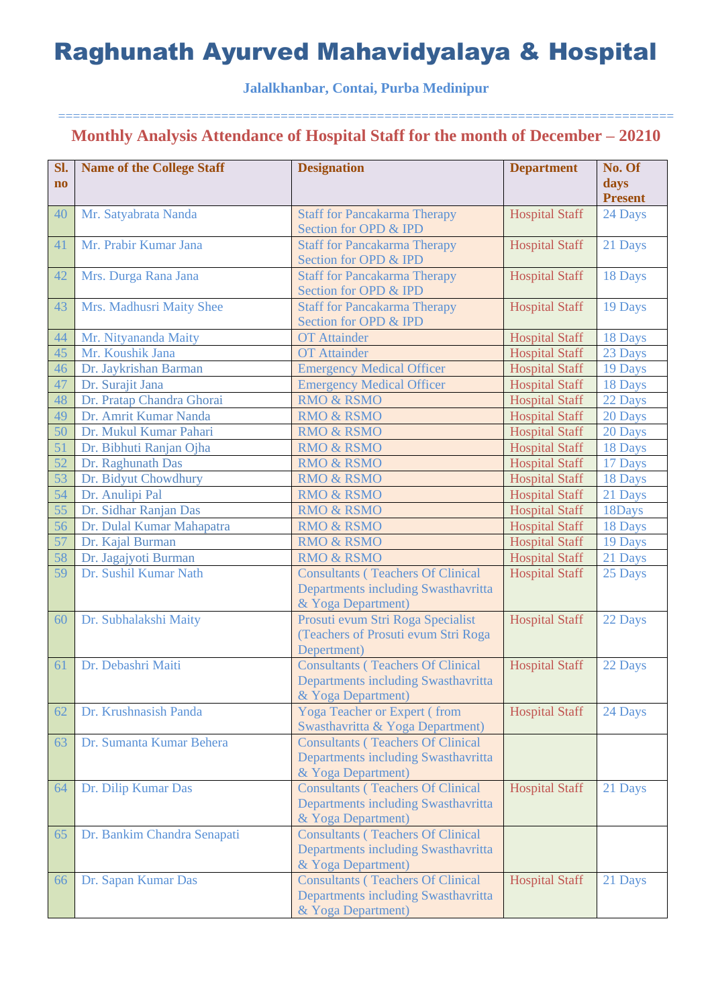### **Jalalkhanbar, Contai, Purba Medinipur**

| Sl.                    | <b>Name of the College Staff</b> | <b>Designation</b>                                           | <b>Department</b>     | No. Of         |
|------------------------|----------------------------------|--------------------------------------------------------------|-----------------------|----------------|
| $\mathbf{n}\mathbf{o}$ |                                  |                                                              |                       | days           |
|                        |                                  |                                                              |                       | <b>Present</b> |
| 40                     | Mr. Satyabrata Nanda             | <b>Staff for Pancakarma Therapy</b>                          | <b>Hospital Staff</b> | 24 Days        |
|                        |                                  | Section for OPD & IPD                                        |                       |                |
| 41                     | Mr. Prabir Kumar Jana            | <b>Staff for Pancakarma Therapy</b>                          | <b>Hospital Staff</b> | 21 Days        |
|                        |                                  | Section for OPD & IPD                                        |                       |                |
| 42                     | Mrs. Durga Rana Jana             | <b>Staff for Pancakarma Therapy</b><br>Section for OPD & IPD | <b>Hospital Staff</b> | 18 Days        |
| 43                     | Mrs. Madhusri Maity Shee         | <b>Staff for Pancakarma Therapy</b>                          | <b>Hospital Staff</b> | 19 Days        |
|                        |                                  | Section for OPD & IPD                                        |                       |                |
| 44                     | Mr. Nityananda Maity             | <b>OT</b> Attainder                                          | <b>Hospital Staff</b> | 18 Days        |
| 45                     | Mr. Koushik Jana                 | <b>OT</b> Attainder                                          | <b>Hospital Staff</b> | 23 Days        |
| 46                     | Dr. Jaykrishan Barman            | <b>Emergency Medical Officer</b>                             | <b>Hospital Staff</b> | 19 Days        |
| 47                     | Dr. Surajit Jana                 | <b>Emergency Medical Officer</b>                             | <b>Hospital Staff</b> | 18 Days        |
| 48                     | Dr. Pratap Chandra Ghorai        | <b>RMO &amp; RSMO</b>                                        | <b>Hospital Staff</b> | 22 Days        |
| 49                     | Dr. Amrit Kumar Nanda            | <b>RMO &amp; RSMO</b>                                        | <b>Hospital Staff</b> | 20 Days        |
| 50                     | Dr. Mukul Kumar Pahari           | <b>RMO &amp; RSMO</b>                                        | <b>Hospital Staff</b> | 20 Days        |
| 51                     | Dr. Bibhuti Ranjan Ojha          | <b>RMO &amp; RSMO</b>                                        | <b>Hospital Staff</b> | 18 Days        |
| 52                     | Dr. Raghunath Das                | <b>RMO &amp; RSMO</b>                                        | <b>Hospital Staff</b> | 17 Days        |
| 53                     | Dr. Bidyut Chowdhury             | <b>RMO &amp; RSMO</b>                                        | <b>Hospital Staff</b> | 18 Days        |
| 54                     | Dr. Anulipi Pal                  | <b>RMO &amp; RSMO</b>                                        | <b>Hospital Staff</b> | 21 Days        |
| 55                     | Dr. Sidhar Ranjan Das            | <b>RMO &amp; RSMO</b>                                        | <b>Hospital Staff</b> | 18Days         |
| 56                     | Dr. Dulal Kumar Mahapatra        | <b>RMO &amp; RSMO</b>                                        | <b>Hospital Staff</b> | 18 Days        |
| 57                     | Dr. Kajal Burman                 | <b>RMO &amp; RSMO</b>                                        | <b>Hospital Staff</b> | 19 Days        |
| 58                     | Dr. Jagajyoti Burman             | <b>RMO &amp; RSMO</b>                                        | <b>Hospital Staff</b> | 21 Days        |
| 59                     | Dr. Sushil Kumar Nath            | <b>Consultants (Teachers Of Clinical</b>                     | <b>Hospital Staff</b> | 25 Days        |
|                        |                                  | Departments including Swasthavritta                          |                       |                |
|                        |                                  | & Yoga Department)                                           |                       |                |
| 60                     | Dr. Subhalakshi Maity            | Prosuti evum Stri Roga Specialist                            | <b>Hospital Staff</b> | 22 Days        |
|                        |                                  | (Teachers of Prosuti evum Stri Roga<br>Depertment)           |                       |                |
| 61                     | Dr. Debashri Maiti               | <b>Consultants (Teachers Of Clinical</b>                     | <b>Hospital Staff</b> | 22 Days        |
|                        |                                  | Departments including Swasthavritta                          |                       |                |
|                        |                                  | & Yoga Department)                                           |                       |                |
| 62                     | Dr. Krushnasish Panda            | <b>Yoga Teacher or Expert (from</b>                          | <b>Hospital Staff</b> | 24 Days        |
|                        |                                  | Swasthavritta & Yoga Department)                             |                       |                |
| 63                     | Dr. Sumanta Kumar Behera         | <b>Consultants (Teachers Of Clinical</b>                     |                       |                |
|                        |                                  | Departments including Swasthavritta                          |                       |                |
|                        |                                  | & Yoga Department)                                           |                       |                |
| 64                     | Dr. Dilip Kumar Das              | <b>Consultants (Teachers Of Clinical</b>                     | <b>Hospital Staff</b> | 21 Days        |
|                        |                                  | Departments including Swasthavritta                          |                       |                |
|                        |                                  | & Yoga Department)                                           |                       |                |
| 65                     | Dr. Bankim Chandra Senapati      | <b>Consultants (Teachers Of Clinical</b>                     |                       |                |
|                        |                                  | Departments including Swasthavritta                          |                       |                |
|                        |                                  | & Yoga Department)                                           |                       |                |
| 66                     | Dr. Sapan Kumar Das              | <b>Consultants (Teachers Of Clinical</b>                     | <b>Hospital Staff</b> | 21 Days        |
|                        |                                  | Departments including Swasthavritta                          |                       |                |
|                        |                                  | & Yoga Department)                                           |                       |                |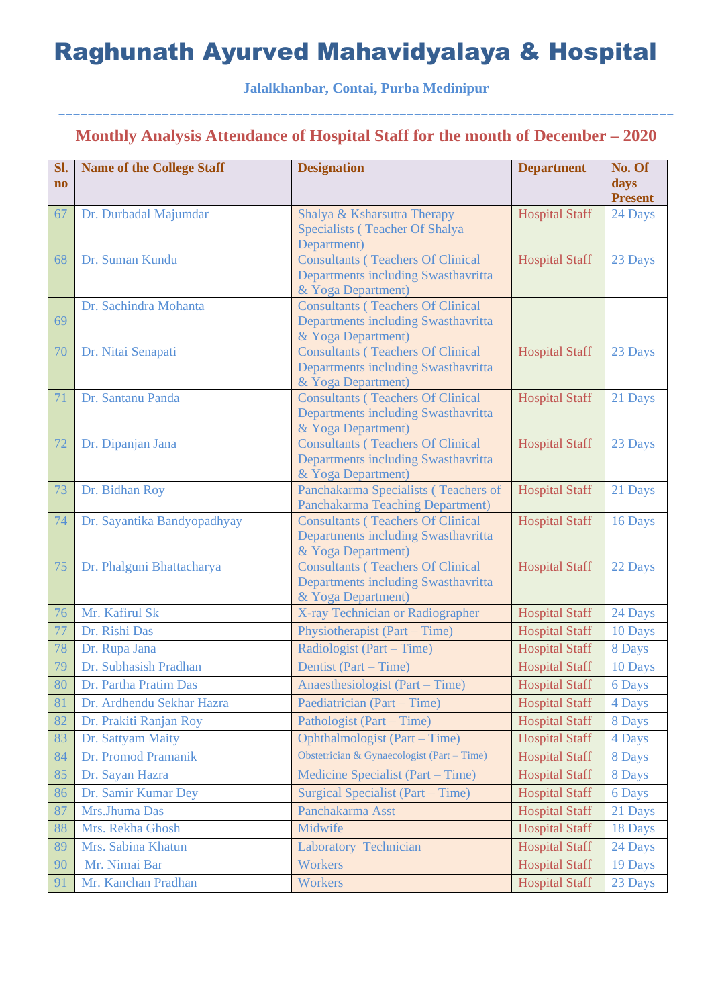**Jalalkhanbar, Contai, Purba Medinipur**

| SI.<br>$\mathbf{n}\mathbf{o}$                | <b>Name of the College Staff</b>                                                                                                                                 | <b>Designation</b>                                                                                                                                                                                 | <b>Department</b>                                                                                                                                                                                    | No. Of<br>days                                                                    |
|----------------------------------------------|------------------------------------------------------------------------------------------------------------------------------------------------------------------|----------------------------------------------------------------------------------------------------------------------------------------------------------------------------------------------------|------------------------------------------------------------------------------------------------------------------------------------------------------------------------------------------------------|-----------------------------------------------------------------------------------|
|                                              |                                                                                                                                                                  |                                                                                                                                                                                                    |                                                                                                                                                                                                      | <b>Present</b>                                                                    |
| 67                                           | Dr. Durbadal Majumdar                                                                                                                                            | Shalya & Ksharsutra Therapy                                                                                                                                                                        | <b>Hospital Staff</b>                                                                                                                                                                                | 24 Days                                                                           |
|                                              |                                                                                                                                                                  | Specialists (Teacher Of Shalya<br>Department)                                                                                                                                                      |                                                                                                                                                                                                      |                                                                                   |
| 68                                           | Dr. Suman Kundu                                                                                                                                                  | <b>Consultants (Teachers Of Clinical</b>                                                                                                                                                           | <b>Hospital Staff</b>                                                                                                                                                                                | 23 Days                                                                           |
|                                              |                                                                                                                                                                  | Departments including Swasthavritta                                                                                                                                                                |                                                                                                                                                                                                      |                                                                                   |
|                                              |                                                                                                                                                                  | & Yoga Department)                                                                                                                                                                                 |                                                                                                                                                                                                      |                                                                                   |
|                                              | Dr. Sachindra Mohanta                                                                                                                                            | <b>Consultants (Teachers Of Clinical</b>                                                                                                                                                           |                                                                                                                                                                                                      |                                                                                   |
| 69                                           |                                                                                                                                                                  | Departments including Swasthavritta                                                                                                                                                                |                                                                                                                                                                                                      |                                                                                   |
| 70                                           | Dr. Nitai Senapati                                                                                                                                               | & Yoga Department)<br><b>Consultants (Teachers Of Clinical</b>                                                                                                                                     | <b>Hospital Staff</b>                                                                                                                                                                                | 23 Days                                                                           |
|                                              |                                                                                                                                                                  | Departments including Swasthavritta                                                                                                                                                                |                                                                                                                                                                                                      |                                                                                   |
|                                              |                                                                                                                                                                  | & Yoga Department)                                                                                                                                                                                 |                                                                                                                                                                                                      |                                                                                   |
| 71                                           | Dr. Santanu Panda                                                                                                                                                | <b>Consultants (Teachers Of Clinical</b>                                                                                                                                                           | <b>Hospital Staff</b>                                                                                                                                                                                | 21 Days                                                                           |
|                                              |                                                                                                                                                                  | Departments including Swasthavritta                                                                                                                                                                |                                                                                                                                                                                                      |                                                                                   |
| 72                                           | Dr. Dipanjan Jana                                                                                                                                                | & Yoga Department)<br><b>Consultants (Teachers Of Clinical</b>                                                                                                                                     | <b>Hospital Staff</b>                                                                                                                                                                                | 23 Days                                                                           |
|                                              |                                                                                                                                                                  | Departments including Swasthavritta                                                                                                                                                                |                                                                                                                                                                                                      |                                                                                   |
|                                              |                                                                                                                                                                  | & Yoga Department)                                                                                                                                                                                 |                                                                                                                                                                                                      |                                                                                   |
| 73                                           | Dr. Bidhan Roy                                                                                                                                                   | Panchakarma Specialists (Teachers of                                                                                                                                                               | <b>Hospital Staff</b>                                                                                                                                                                                | 21 Days                                                                           |
|                                              |                                                                                                                                                                  | <b>Panchakarma Teaching Department)</b>                                                                                                                                                            |                                                                                                                                                                                                      |                                                                                   |
| 74                                           | Dr. Sayantika Bandyopadhyay                                                                                                                                      | <b>Consultants (Teachers Of Clinical</b><br>Departments including Swasthavritta                                                                                                                    | <b>Hospital Staff</b>                                                                                                                                                                                | 16 Days                                                                           |
|                                              |                                                                                                                                                                  | & Yoga Department)                                                                                                                                                                                 |                                                                                                                                                                                                      |                                                                                   |
| 75                                           | Dr. Phalguni Bhattacharya                                                                                                                                        | <b>Consultants (Teachers Of Clinical</b>                                                                                                                                                           | <b>Hospital Staff</b>                                                                                                                                                                                | 22 Days                                                                           |
|                                              |                                                                                                                                                                  | Departments including Swasthavritta                                                                                                                                                                |                                                                                                                                                                                                      |                                                                                   |
|                                              |                                                                                                                                                                  | & Yoga Department)                                                                                                                                                                                 |                                                                                                                                                                                                      |                                                                                   |
| 76                                           | Mr. Kafirul Sk                                                                                                                                                   | X-ray Technician or Radiographer                                                                                                                                                                   | <b>Hospital Staff</b>                                                                                                                                                                                | 24 Days                                                                           |
| 77                                           | Dr. Rishi Das                                                                                                                                                    | Physiotherapist (Part – Time)                                                                                                                                                                      | <b>Hospital Staff</b>                                                                                                                                                                                | 10 Days                                                                           |
| 78                                           | Dr. Rupa Jana                                                                                                                                                    | Radiologist (Part – Time)                                                                                                                                                                          | <b>Hospital Staff</b>                                                                                                                                                                                | 8 Days                                                                            |
| 79                                           | Dr. Subhasish Pradhan                                                                                                                                            | Dentist (Part – Time)                                                                                                                                                                              | <b>Hospital Staff</b>                                                                                                                                                                                | 10 Days                                                                           |
| 80                                           | Dr. Partha Pratim Das                                                                                                                                            | Anaesthesiologist (Part – Time)                                                                                                                                                                    | <b>Hospital Staff</b>                                                                                                                                                                                | 6 Days                                                                            |
| 81                                           | Dr. Ardhendu Sekhar Hazra                                                                                                                                        | Paediatrician (Part – Time)<br>Pathologist (Part – Time)                                                                                                                                           | <b>Hospital Staff</b>                                                                                                                                                                                | 4 Days                                                                            |
| 82<br>83                                     | Dr. Prakiti Ranjan Roy<br>Dr. Sattyam Maity                                                                                                                      | <b>Ophthalmologist (Part – Time)</b>                                                                                                                                                               | <b>Hospital Staff</b><br><b>Hospital Staff</b>                                                                                                                                                       | 8 Days                                                                            |
|                                              |                                                                                                                                                                  |                                                                                                                                                                                                    |                                                                                                                                                                                                      | 4 Days                                                                            |
|                                              |                                                                                                                                                                  |                                                                                                                                                                                                    |                                                                                                                                                                                                      |                                                                                   |
|                                              |                                                                                                                                                                  |                                                                                                                                                                                                    |                                                                                                                                                                                                      |                                                                                   |
|                                              |                                                                                                                                                                  |                                                                                                                                                                                                    |                                                                                                                                                                                                      |                                                                                   |
|                                              |                                                                                                                                                                  |                                                                                                                                                                                                    |                                                                                                                                                                                                      |                                                                                   |
|                                              |                                                                                                                                                                  |                                                                                                                                                                                                    |                                                                                                                                                                                                      |                                                                                   |
|                                              |                                                                                                                                                                  |                                                                                                                                                                                                    |                                                                                                                                                                                                      |                                                                                   |
|                                              |                                                                                                                                                                  |                                                                                                                                                                                                    |                                                                                                                                                                                                      |                                                                                   |
| 84<br>85<br>86<br>87<br>88<br>89<br>90<br>91 | Dr. Promod Pramanik<br>Dr. Sayan Hazra<br>Dr. Samir Kumar Dey<br>Mrs.Jhuma Das<br>Mrs. Rekha Ghosh<br>Mrs. Sabina Khatun<br>Mr. Nimai Bar<br>Mr. Kanchan Pradhan | Obstetrician & Gynaecologist (Part – Time)<br>Medicine Specialist (Part – Time)<br>Surgical Specialist (Part – Time)<br>Panchakarma Asst<br>Midwife<br>Laboratory Technician<br>Workers<br>Workers | <b>Hospital Staff</b><br><b>Hospital Staff</b><br><b>Hospital Staff</b><br><b>Hospital Staff</b><br><b>Hospital Staff</b><br><b>Hospital Staff</b><br><b>Hospital Staff</b><br><b>Hospital Staff</b> | 8 Days<br>8 Days<br>6 Days<br>21 Days<br>18 Days<br>24 Days<br>19 Days<br>23 Days |